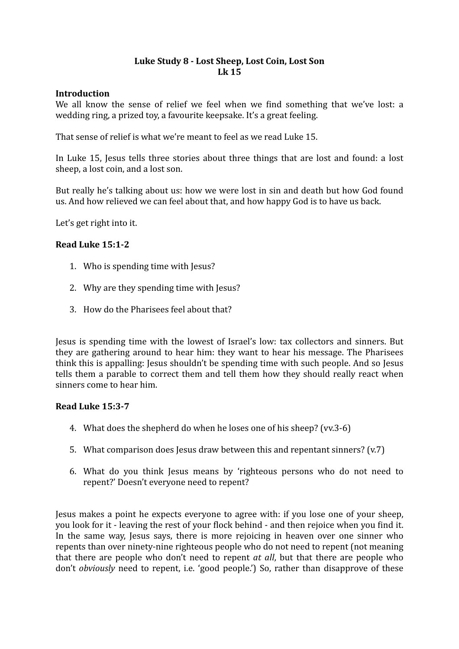# Luke Study 8 - Lost Sheep, Lost Coin, Lost Son **Lk 15**

#### **Introduction**

We all know the sense of relief we feel when we find something that we've lost: a wedding ring, a prized toy, a favourite keepsake. It's a great feeling.

That sense of relief is what we're meant to feel as we read Luke 15.

In Luke 15, Jesus tells three stories about three things that are lost and found: a lost sheep, a lost coin, and a lost son.

But really he's talking about us: how we were lost in sin and death but how God found us. And how relieved we can feel about that, and how happy God is to have us back.

Let's get right into it.

## **Read Luke 15:1-2**

- 1. Who is spending time with Jesus?
- 2. Why are they spending time with lesus?
- 3. How do the Pharisees feel about that?

Jesus is spending time with the lowest of Israel's low: tax collectors and sinners. But they are gathering around to hear him: they want to hear his message. The Pharisees think this is appalling: Jesus shouldn't be spending time with such people. And so Jesus tells them a parable to correct them and tell them how they should really react when sinners come to hear him.

## **Read Luke 15:3-7**

- 4. What does the shepherd do when he loses one of his sheep? (vv.3-6)
- 5. What comparison does Jesus draw between this and repentant sinners?  $(v.7)$
- 6. What do you think Jesus means by 'righteous persons who do not need to repent?' Doesn't everyone need to repent?

Iesus makes a point he expects everyone to agree with: if you lose one of your sheep. you look for it - leaving the rest of your flock behind - and then rejoice when you find it. In the same way, Jesus says, there is more rejoicing in heaven over one sinner who repents than over ninety-nine righteous people who do not need to repent (not meaning that there are people who don't need to repent *at all*, but that there are people who don't *obviously* need to repent, i.e. 'good people.') So, rather than disapprove of these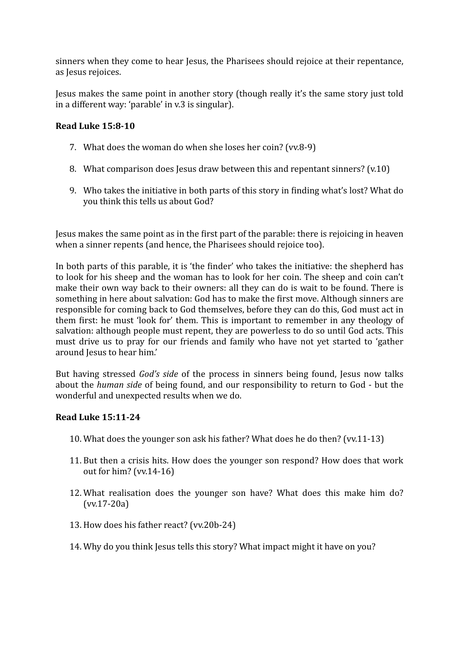sinners when they come to hear Jesus, the Pharisees should rejoice at their repentance, as Jesus rejoices.

Jesus makes the same point in another story (though really it's the same story just told in a different way: 'parable' in v.3 is singular).

# **Read Luke 15:8-10**

- 7. What does the woman do when she loses her coin? (vv.8-9)
- 8. What comparison does lesus draw between this and repentant sinners?  $(v.10)$
- 9. Who takes the initiative in both parts of this story in finding what's lost? What do you think this tells us about God?

Jesus makes the same point as in the first part of the parable: there is rejoicing in heaven when a sinner repents (and hence, the Pharisees should rejoice too).

In both parts of this parable, it is 'the finder' who takes the initiative: the shepherd has to look for his sheep and the woman has to look for her coin. The sheep and coin can't make their own way back to their owners: all they can do is wait to be found. There is something in here about salvation: God has to make the first move. Although sinners are responsible for coming back to God themselves, before they can do this, God must act in them first: he must 'look for' them. This is important to remember in any theology of salvation: although people must repent, they are powerless to do so until God acts. This must drive us to pray for our friends and family who have not yet started to 'gather around Jesus to hear him.'

But having stressed *God's side* of the process in sinners being found, Jesus now talks about the *human side* of being found, and our responsibility to return to God - but the wonderful and unexpected results when we do.

## **Read Luke 15:11-24**

- 10. What does the younger son ask his father? What does he do then? (vv.11-13)
- 11. But then a crisis hits. How does the younger son respond? How does that work out for him? (vv.14-16)
- 12. What realisation does the younger son have? What does this make him do? (vv.17-20a)
- 13. How does his father react? (vv.20b-24)
- 14. Why do you think Jesus tells this story? What impact might it have on you?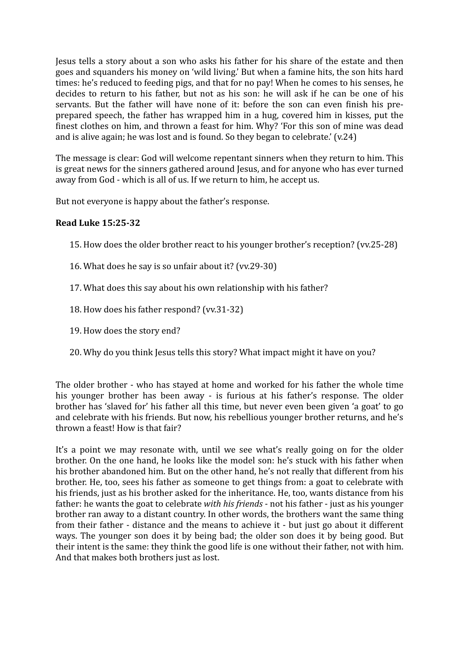Jesus tells a story about a son who asks his father for his share of the estate and then goes and squanders his money on 'wild living.' But when a famine hits, the son hits hard times: he's reduced to feeding pigs, and that for no pay! When he comes to his senses, he decides to return to his father, but not as his son: he will ask if he can be one of his servants. But the father will have none of it: before the son can even finish his preprepared speech, the father has wrapped him in a hug, covered him in kisses, put the finest clothes on him, and thrown a feast for him. Why? 'For this son of mine was dead and is alive again; he was lost and is found. So they began to celebrate.'  $(v.24)$ 

The message is clear: God will welcome repentant sinners when they return to him. This is great news for the sinners gathered around Jesus, and for anyone who has ever turned away from God - which is all of us. If we return to him, he accept us.

But not everyone is happy about the father's response.

#### **Read Luke 15:25-32**

- 15. How does the older brother react to his younger brother's reception? (vv.25-28)
- 16. What does he say is so unfair about it? (vv.29-30)
- 17. What does this say about his own relationship with his father?
- 18. How does his father respond? (vv.31-32)
- 19. How does the story end?
- 20. Why do you think lesus tells this story? What impact might it have on you?

The older brother - who has stayed at home and worked for his father the whole time his younger brother has been away - is furious at his father's response. The older brother has 'slaved for' his father all this time, but never even been given 'a goat' to go and celebrate with his friends. But now, his rebellious younger brother returns, and he's thrown a feast! How is that fair?

It's a point we may resonate with, until we see what's really going on for the older brother. On the one hand, he looks like the model son: he's stuck with his father when his brother abandoned him. But on the other hand, he's not really that different from his brother. He, too, sees his father as someone to get things from: a goat to celebrate with his friends, just as his brother asked for the inheritance. He, too, wants distance from his father: he wants the goat to celebrate *with his friends* - not his father - just as his vounger brother ran away to a distant country. In other words, the brothers want the same thing from their father - distance and the means to achieve it - but just go about it different ways. The vounger son does it by being bad; the older son does it by being good. But their intent is the same: they think the good life is one without their father, not with him. And that makes both brothers just as lost.